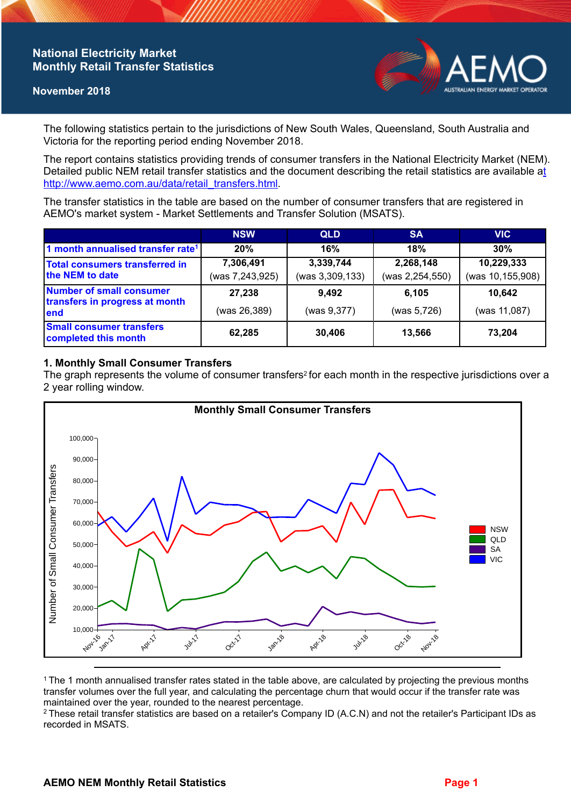## **National Electricity Market Monthly Retail Transfer Statistics**

### **November 2018**



The following statistics pertain to the jurisdictions of New South Wales, Queensland, South Australia and Victoria for the reporting period ending November 2018.

The report contains statistics providing trends of consumer transfers in the National Electricity Market (NEM). Detailed public NEM retail transfer statistics and the document describing the retail statistics are available a[t](http://www.aemo.com.au/data/retail_transfers.html)  http://www.aemo.com.au/data/retail\_transfers.html

The transfer statistics in the table are based on the number of consumer transfers that are registered in AEMO's market system - Market Settlements and Transfer Solution (MSATS).

|                                                                           | <b>NSW</b>      | <b>QLD</b>      | <b>SA</b>       | <b>VIC</b>       |
|---------------------------------------------------------------------------|-----------------|-----------------|-----------------|------------------|
| 1 month annualised transfer rate <sup>1</sup>                             | 20%             | 16%             | 18%             | 30%              |
| Total consumers transferred in<br>the NEM to date                         | 7,306,491       | 3,339,744       | 2,268,148       | 10,229,333       |
|                                                                           | (was 7,243,925) | (was 3,309,133) | (was 2,254,550) | (was 10,155,908) |
| <b>Number of small consumer</b><br>transfers in progress at month<br>lend | 27,238          | 9,492           | 6.105           | 10,642           |
|                                                                           | (was 26,389)    | (was 9,377)     | (was 5,726)     | (was 11,087)     |
| <b>Small consumer transfers</b><br>completed this month                   | 62,285          | 30,406          | 13,566          | 73,204           |

### **1. Monthly Small Consumer Transfers**

The graph represents the volume of consumer transfers<sup>2</sup> for each month in the respective jurisdictions over a 2 year rolling window.



<sup>1</sup>The 1 month annualised transfer rates stated in the table above, are calculated by projecting the previous months transfer volumes over the full year, and calculating the percentage churn that would occur if the transfer rate was maintained over the year, rounded to the nearest percentage.

<sup>2</sup> These retail transfer statistics are based on a retailer's Company ID (A.C.N) and not the retailer's Participant IDs as recorded in MSATS.